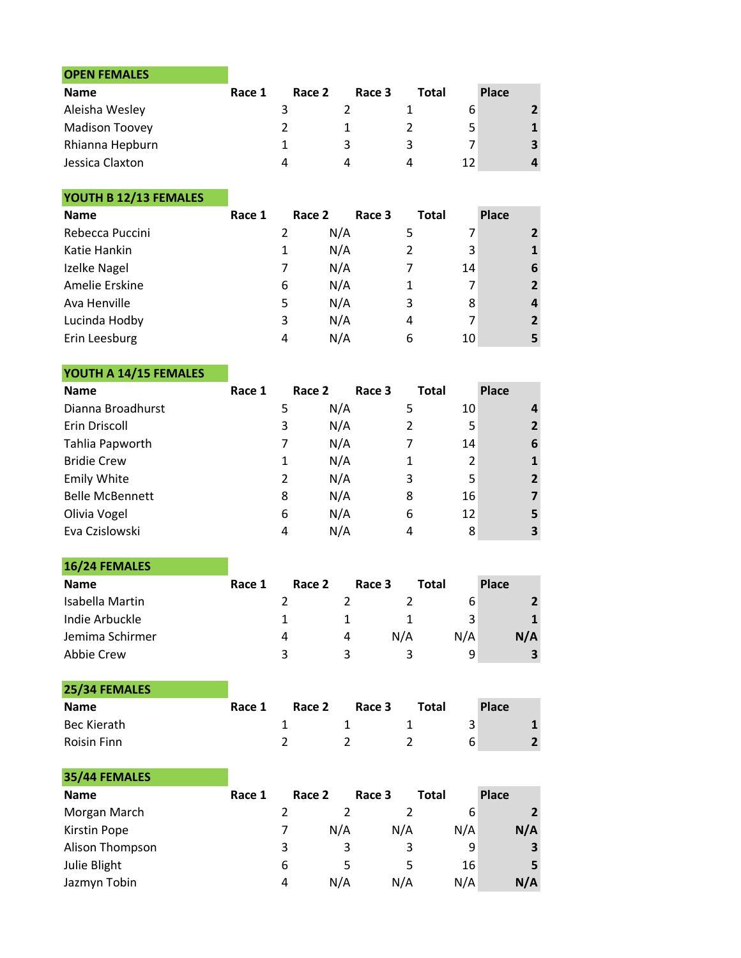| <b>OPEN FEMALES</b>   |        |        |        |       |    |       |                         |
|-----------------------|--------|--------|--------|-------|----|-------|-------------------------|
| <b>Name</b>           | Race 1 | Race 2 | Race 3 | Total |    | Place |                         |
| Aleisha Wesley        |        |        |        |       | 6  |       | $\overline{2}$          |
| <b>Madison Toovey</b> |        |        |        |       | 5  |       |                         |
| Rhianna Hepburn       |        |        |        | 3     |    |       | $\overline{\mathbf{3}}$ |
| Jessica Claxton       |        | Λ      | Δ      | Δ     | 12 |       | 4                       |

YOUTH B 12/13 FEMALES

| <b>Name</b>     | Race 1        | Race 2 | Race 3 | <b>Total</b> | <b>Place</b>   |
|-----------------|---------------|--------|--------|--------------|----------------|
| Rebecca Puccini | $\mathcal{P}$ | N/A    | 5      |              | $\mathbf{2}$   |
| Katie Hankin    | 1             | N/A    | 2      | 3            | 1              |
| Izelke Nagel    |               | N/A    |        | 14           | 6              |
| Amelie Erskine  | 6             | N/A    |        |              | $\overline{2}$ |
| Ava Henville    | 5             | N/A    | 3      | 8            | 4              |
| Lucinda Hodby   | 3             | N/A    | 4      |              | $\overline{2}$ |
| Erin Leesburg   | 4             | N/A    | 6      | 10           | 5              |

## YOUTH A 14/15 FEMALES

35/44 FEMALES

| <b>Name</b>            | Race 1 | Race 2 | Race 3 | Total | <b>Place</b>   |
|------------------------|--------|--------|--------|-------|----------------|
| Dianna Broadhurst      | 5      | N/A    | 5      | 10    |                |
| Erin Driscoll          | 3      | N/A    |        | 5     | $\overline{2}$ |
| Tahlia Papworth        | 7      | N/A    |        | 14    | 6              |
| <b>Bridie Crew</b>     | 1      | N/A    |        | 2     | 1              |
| <b>Emily White</b>     | 2      | N/A    | 3      | 5     | $\overline{2}$ |
| <b>Belle McBennett</b> | 8      | N/A    | 8      | 16    | 7              |
| Olivia Vogel           | 6      | N/A    | 6      | 12    | 5.             |
| Eva Czislowski         | 4      | N/A    | 4      | 8     | 3              |

16/24 FEMALES Name Race 1 Race 2 Race 3 Total Place Isabella Martin 2 2 2 6 2 Indie Arbuckle 1 1 1 3 1 1 Jemima Schirmer 1988 1999 12 A A A A A A N/A N/A N/A Abbie Crew 3 3 3 3 9 3

| 25/34 FEMALES      |        |        |        |       |       |               |
|--------------------|--------|--------|--------|-------|-------|---------------|
| <b>Name</b>        | Race 1 | Race 2 | Race 3 | Total | Place |               |
| Bec Kierath        |        |        |        |       |       |               |
| <b>Roisin Finn</b> |        |        |        |       | 6     | $\mathcal{P}$ |

| 35/44 FEMALES   |        |        |     |        |       |                |
|-----------------|--------|--------|-----|--------|-------|----------------|
| <b>Name</b>     | Race 1 | Race 2 |     | Race 3 | Total | <b>Place</b>   |
| Morgan March    |        |        |     |        | 6     | $\overline{2}$ |
| Kirstin Pope    |        |        | N/A | N/A    | N/A   | N/A            |
| Alison Thompson |        | 3      | 3   | 3      | 9     | 3              |
| Julie Blight    |        | 6      | 5   | 5      | 16    | 5              |
| Jazmyn Tobin    |        | 4      | N/A | N/A    | N/A   | N/A            |